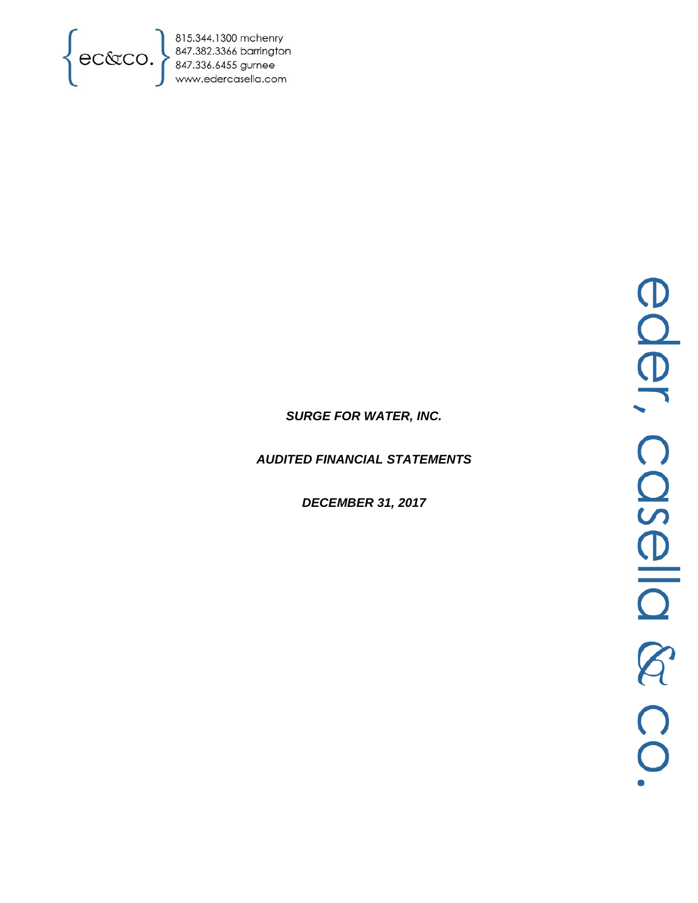

815.344.1300 mchenry<br>847.382.3366 barrington<br>847.336.6455 gurnee<br>www.edercasella.com

# *SURGE FOR WATER, INC.*

*AUDITED FINANCIAL STATEMENTS* 

*DECEMBER 31, 2017*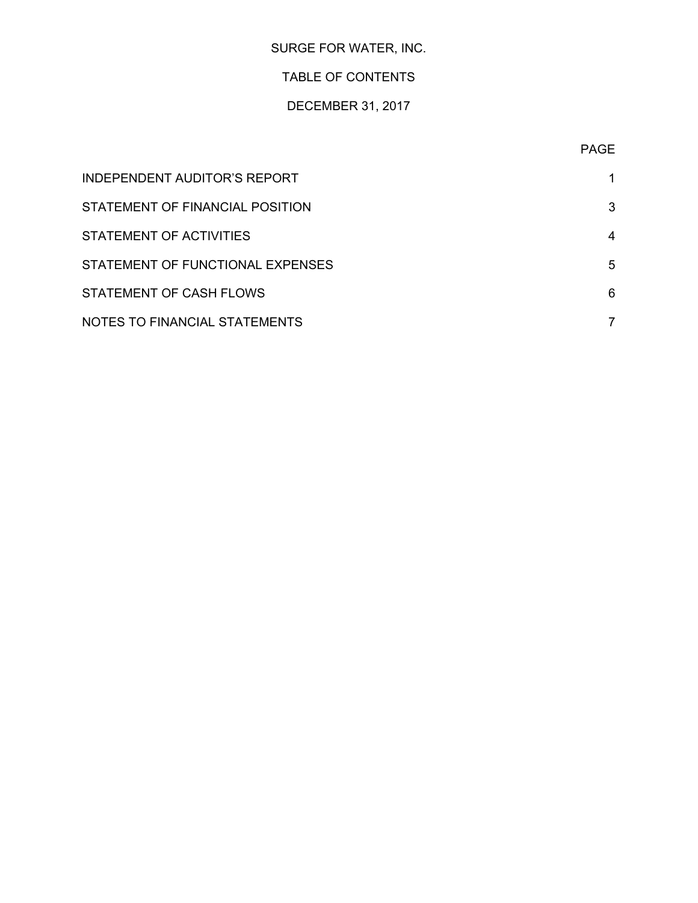# SURGE FOR WATER, INC.

## TABLE OF CONTENTS

# DECEMBER 31, 2017

| INDEPENDENT AUDITOR'S REPORT     |   |
|----------------------------------|---|
| STATEMENT OF FINANCIAL POSITION  | 3 |
| STATEMENT OF ACTIVITIES          | 4 |
| STATEMENT OF FUNCTIONAL EXPENSES | 5 |
| STATEMENT OF CASH FLOWS          | 6 |
| NOTES TO FINANCIAL STATEMENTS    |   |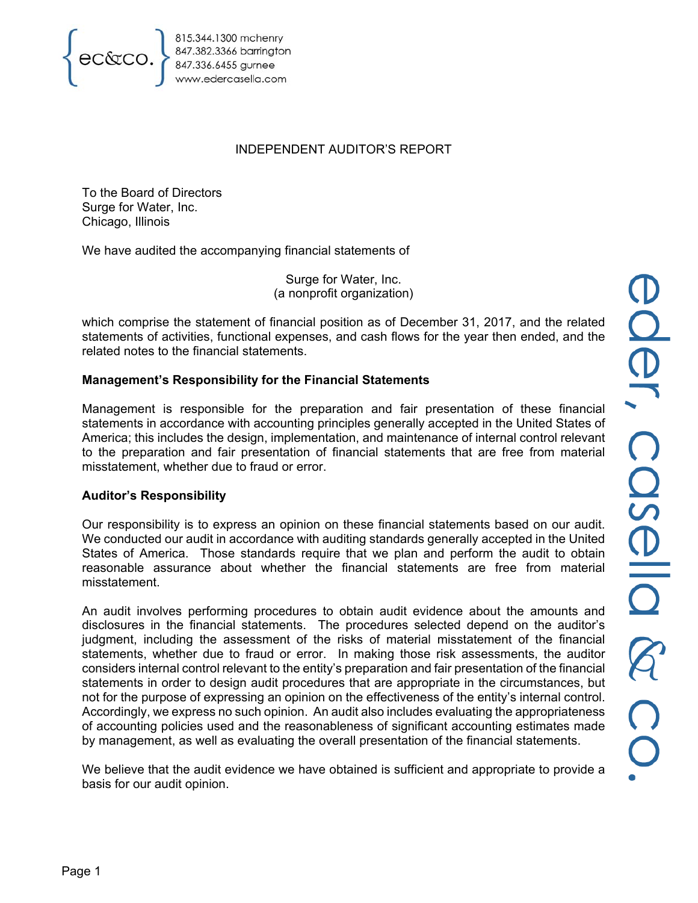

847.382.3366 barrington<br>847.336.6455 gurnee<br>www.edercasella.com

## INDEPENDENT AUDITOR'S REPORT

To the Board of Directors Surge for Water, Inc. Chicago, Illinois

We have audited the accompanying financial statements of

Surge for Water, Inc. (a nonprofit organization)

which comprise the statement of financial position as of December 31, 2017, and the related statements of activities, functional expenses, and cash flows for the year then ended, and the related notes to the financial statements.

## **Management's Responsibility for the Financial Statements**

Management is responsible for the preparation and fair presentation of these financial statements in accordance with accounting principles generally accepted in the United States of America; this includes the design, implementation, and maintenance of internal control relevant to the preparation and fair presentation of financial statements that are free from material misstatement, whether due to fraud or error.

#### **Auditor's Responsibility**

Our responsibility is to express an opinion on these financial statements based on our audit. We conducted our audit in accordance with auditing standards generally accepted in the United States of America. Those standards require that we plan and perform the audit to obtain reasonable assurance about whether the financial statements are free from material misstatement.

An audit involves performing procedures to obtain audit evidence about the amounts and disclosures in the financial statements. The procedures selected depend on the auditor's judgment, including the assessment of the risks of material misstatement of the financial statements, whether due to fraud or error. In making those risk assessments, the auditor considers internal control relevant to the entity's preparation and fair presentation of the financial statements in order to design audit procedures that are appropriate in the circumstances, but not for the purpose of expressing an opinion on the effectiveness of the entity's internal control. Accordingly, we express no such opinion. An audit also includes evaluating the appropriateness of accounting policies used and the reasonableness of significant accounting estimates made by management, as well as evaluating the overall presentation of the financial statements.

We believe that the audit evidence we have obtained is sufficient and appropriate to provide a basis for our audit opinion.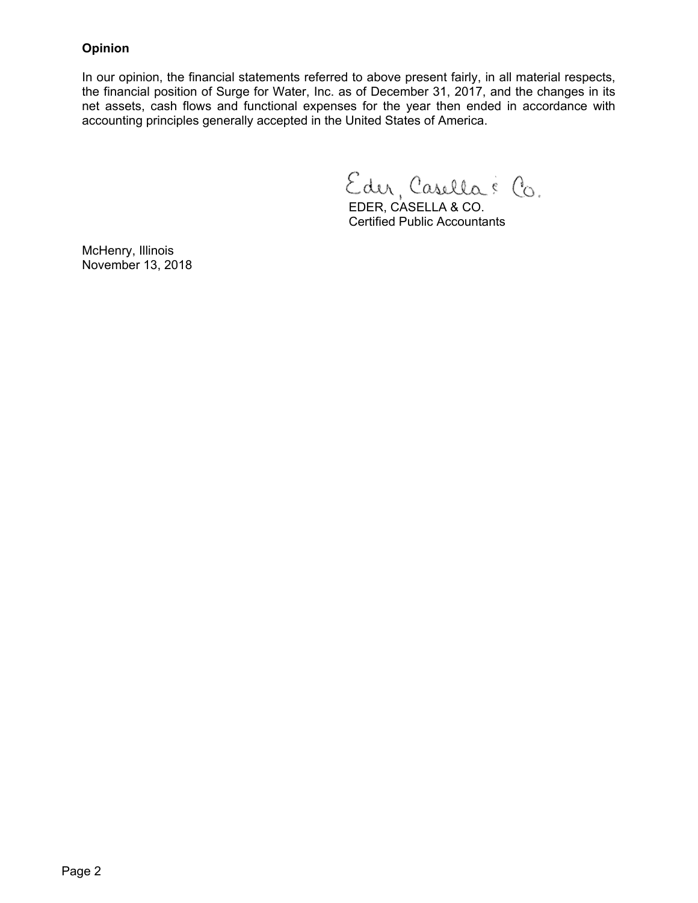## **Opinion**

In our opinion, the financial statements referred to above present fairly, in all material respects, the financial position of Surge for Water, Inc. as of December 31, 2017, and the changes in its net assets, cash flows and functional expenses for the year then ended in accordance with accounting principles generally accepted in the United States of America.

Eder, Casella & Co.

 EDER, CASELLA & CO. Certified Public Accountants

McHenry, Illinois November 13, 2018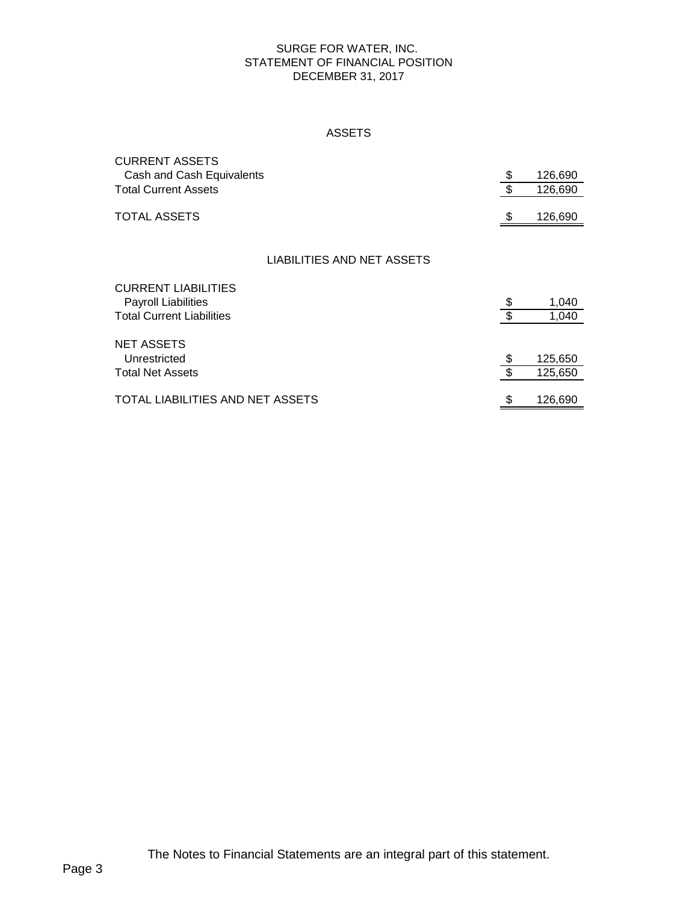#### SURGE FOR WATER, INC. STATEMENT OF FINANCIAL POSITION DECEMBER 31, 2017

#### ASSETS

| <b>CURRENT ASSETS</b><br>Cash and Cash Equivalents | \$                        | 126,690 |
|----------------------------------------------------|---------------------------|---------|
| <b>Total Current Assets</b>                        | $\boldsymbol{\mathsf{S}}$ | 126,690 |
| <b>TOTAL ASSETS</b>                                | \$                        | 126,690 |
|                                                    |                           |         |
| LIABILITIES AND NET ASSETS                         |                           |         |
| <b>CURRENT LIABILITIES</b>                         |                           |         |
| <b>Payroll Liabilities</b>                         | \$                        | 1,040   |
| <b>Total Current Liabilities</b>                   | $\overline{\mathbf{s}}$   | 1,040   |
|                                                    |                           |         |
| <b>NET ASSETS</b>                                  |                           |         |
| Unrestricted                                       | \$                        | 125,650 |
| <b>Total Net Assets</b>                            | \$                        | 125,650 |
|                                                    |                           |         |
| TOTAL LIABILITIES AND NET ASSETS                   | \$                        | 126,690 |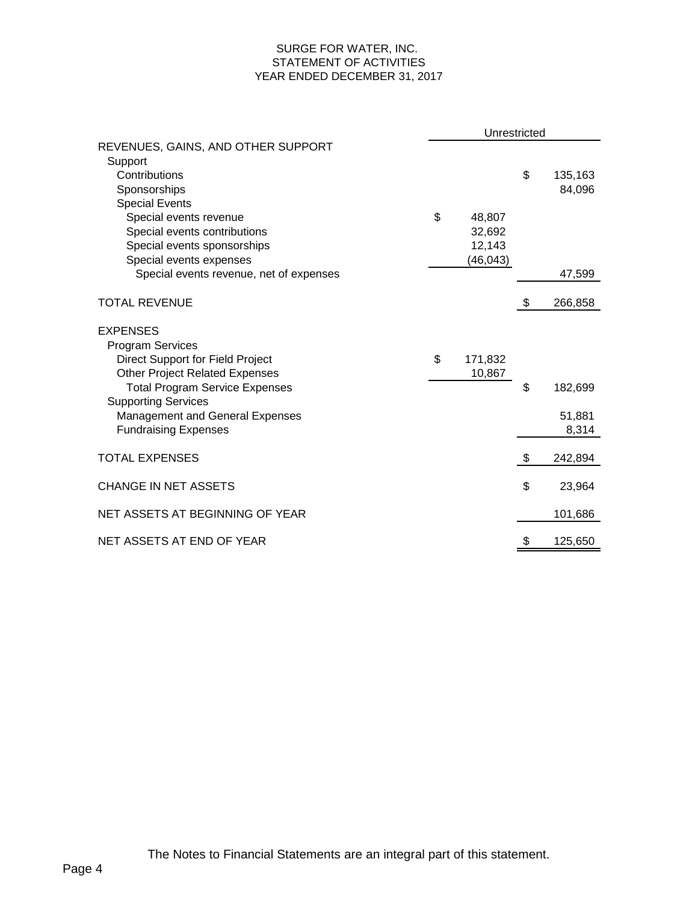#### SURGE FOR WATER, INC. STATEMENT OF ACTIVITIES YEAR ENDED DECEMBER 31, 2017

|                                                                     | Unrestricted |           |    |         |  |
|---------------------------------------------------------------------|--------------|-----------|----|---------|--|
| REVENUES, GAINS, AND OTHER SUPPORT<br>Support                       |              |           |    |         |  |
| Contributions                                                       |              |           | \$ | 135,163 |  |
| Sponsorships                                                        |              |           |    | 84,096  |  |
| <b>Special Events</b>                                               |              |           |    |         |  |
| Special events revenue                                              | \$           | 48,807    |    |         |  |
| Special events contributions                                        |              | 32,692    |    |         |  |
| Special events sponsorships                                         |              | 12,143    |    |         |  |
| Special events expenses                                             |              | (46, 043) |    |         |  |
| Special events revenue, net of expenses                             |              |           |    | 47,599  |  |
| <b>TOTAL REVENUE</b>                                                |              |           | \$ | 266,858 |  |
| <b>EXPENSES</b>                                                     |              |           |    |         |  |
| <b>Program Services</b>                                             |              |           |    |         |  |
| Direct Support for Field Project                                    | \$           | 171,832   |    |         |  |
| <b>Other Project Related Expenses</b>                               |              | 10,867    |    |         |  |
| <b>Total Program Service Expenses</b><br><b>Supporting Services</b> |              |           | \$ | 182,699 |  |
| Management and General Expenses                                     |              |           |    | 51,881  |  |
| <b>Fundraising Expenses</b>                                         |              |           |    | 8,314   |  |
|                                                                     |              |           |    |         |  |
| <b>TOTAL EXPENSES</b>                                               |              |           | \$ | 242,894 |  |
| <b>CHANGE IN NET ASSETS</b>                                         |              |           | \$ | 23,964  |  |
|                                                                     |              |           |    |         |  |
| NET ASSETS AT BEGINNING OF YEAR                                     |              |           |    | 101,686 |  |
| NET ASSETS AT END OF YEAR                                           |              |           | \$ | 125,650 |  |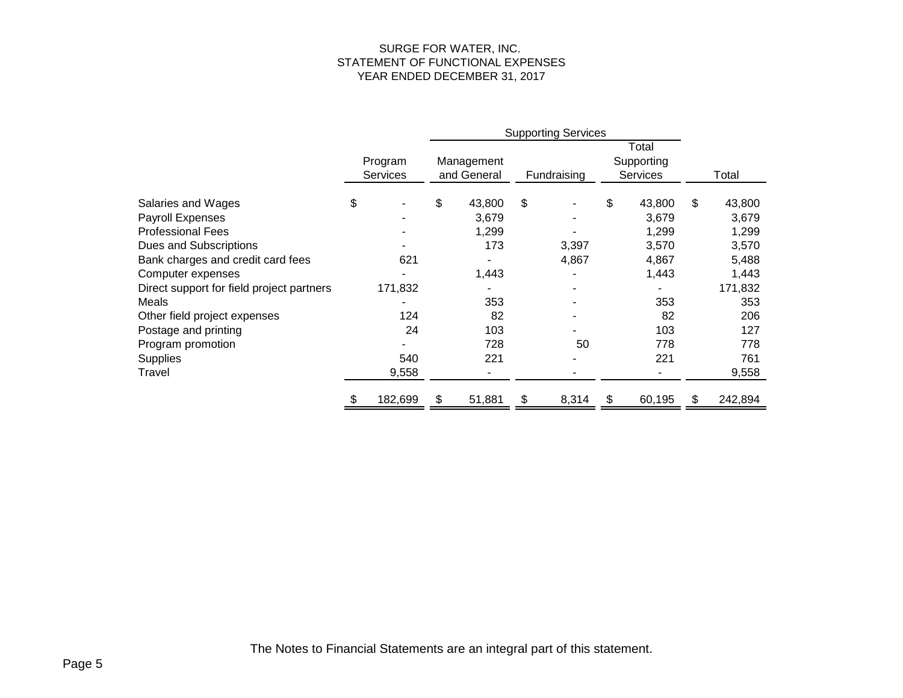#### SURGE FOR WATER, INC. STATEMENT OF FUNCTIONAL EXPENSES YEAR ENDED DECEMBER 31, 2017

|                                           |                            |         | <b>Supporting Services</b> |        |             |       |                                        |        |       |         |
|-------------------------------------------|----------------------------|---------|----------------------------|--------|-------------|-------|----------------------------------------|--------|-------|---------|
|                                           | Program<br><b>Services</b> |         | Management<br>and General  |        | Fundraising |       | Total<br>Supporting<br><b>Services</b> |        | Total |         |
| Salaries and Wages                        | \$                         |         | \$                         | 43,800 | \$          |       | \$                                     | 43,800 | \$    | 43,800  |
| Payroll Expenses                          |                            |         |                            | 3,679  |             |       |                                        | 3,679  |       | 3,679   |
| <b>Professional Fees</b>                  |                            |         |                            | 1,299  |             |       |                                        | 1,299  |       | 1,299   |
| Dues and Subscriptions                    |                            |         |                            | 173    |             | 3,397 |                                        | 3,570  |       | 3,570   |
| Bank charges and credit card fees         |                            | 621     |                            |        |             | 4,867 |                                        | 4,867  |       | 5,488   |
| Computer expenses                         |                            |         |                            | 1,443  |             |       |                                        | 1,443  |       | 1,443   |
| Direct support for field project partners |                            | 171,832 |                            |        |             |       |                                        |        |       | 171,832 |
| Meals                                     |                            |         |                            | 353    |             |       |                                        | 353    |       | 353     |
| Other field project expenses              |                            | 124     |                            | 82     |             |       |                                        | 82     |       | 206     |
| Postage and printing                      |                            | 24      |                            | 103    |             |       |                                        | 103    |       | 127     |
| Program promotion                         |                            |         |                            | 728    |             | 50    |                                        | 778    |       | 778     |
| Supplies                                  |                            | 540     |                            | 221    |             |       |                                        | 221    |       | 761     |
| Travel                                    |                            | 9,558   |                            |        |             |       |                                        |        |       | 9,558   |
|                                           |                            | 182,699 | \$.                        | 51,881 | \$          | 8,314 | \$                                     | 60,195 | \$    | 242,894 |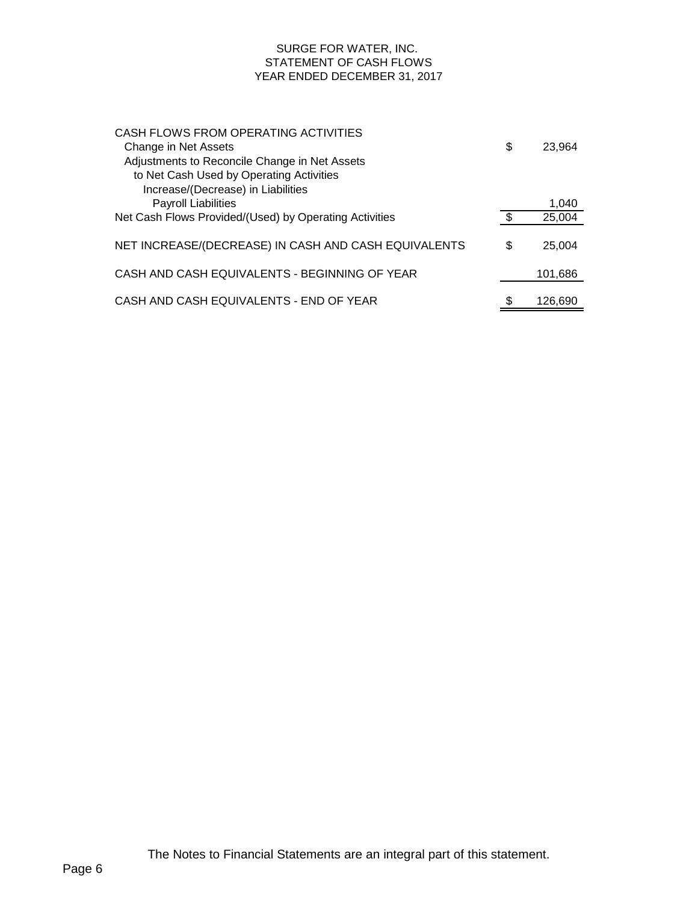#### SURGE FOR WATER, INC. STATEMENT OF CASH FLOWS YEAR ENDED DECEMBER 31, 2017

| CASH FLOWS FROM OPERATING ACTIVITIES                   |     |         |
|--------------------------------------------------------|-----|---------|
| Change in Net Assets                                   | \$  | 23.964  |
| Adjustments to Reconcile Change in Net Assets          |     |         |
| to Net Cash Used by Operating Activities               |     |         |
| Increase/(Decrease) in Liabilities                     |     |         |
| <b>Payroll Liabilities</b>                             |     | 1,040   |
| Net Cash Flows Provided/(Used) by Operating Activities | \$. | 25,004  |
|                                                        |     |         |
| NET INCREASE/(DECREASE) IN CASH AND CASH EQUIVALENTS   | \$  | 25.004  |
|                                                        |     |         |
| CASH AND CASH EQUIVALENTS - BEGINNING OF YEAR          |     | 101,686 |
|                                                        |     |         |
| CASH AND CASH EQUIVALENTS - END OF YEAR                |     | 126.690 |
|                                                        |     |         |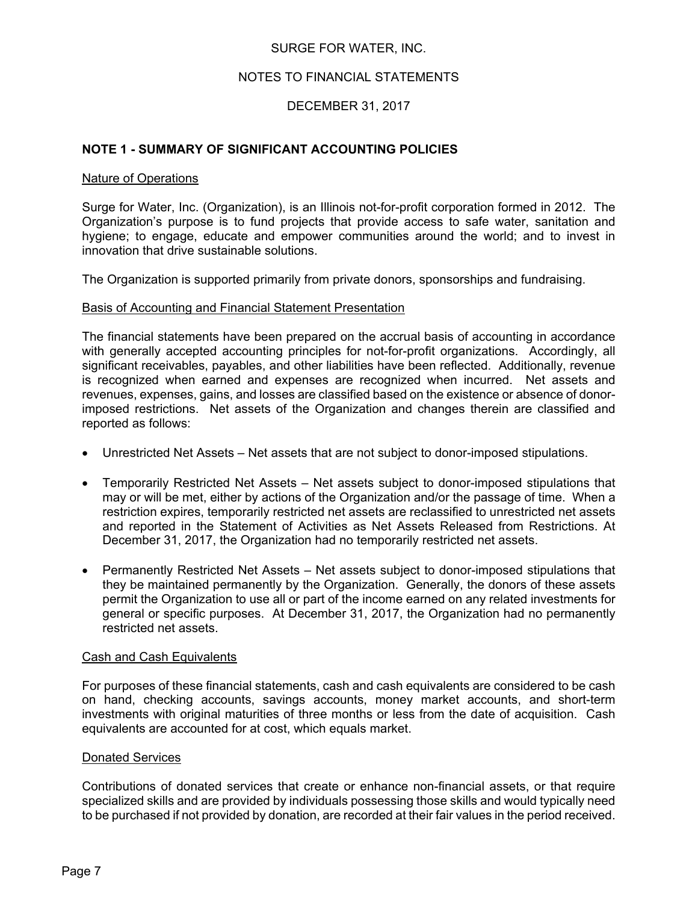### SURGE FOR WATER, INC.

#### NOTES TO FINANCIAL STATEMENTS

### DECEMBER 31, 2017

#### **NOTE 1 - SUMMARY OF SIGNIFICANT ACCOUNTING POLICIES**

#### Nature of Operations

Surge for Water, Inc. (Organization), is an Illinois not-for-profit corporation formed in 2012. The Organization's purpose is to fund projects that provide access to safe water, sanitation and hygiene; to engage, educate and empower communities around the world; and to invest in innovation that drive sustainable solutions.

The Organization is supported primarily from private donors, sponsorships and fundraising.

#### Basis of Accounting and Financial Statement Presentation

The financial statements have been prepared on the accrual basis of accounting in accordance with generally accepted accounting principles for not-for-profit organizations. Accordingly, all significant receivables, payables, and other liabilities have been reflected. Additionally, revenue is recognized when earned and expenses are recognized when incurred. Net assets and revenues, expenses, gains, and losses are classified based on the existence or absence of donorimposed restrictions. Net assets of the Organization and changes therein are classified and reported as follows:

- Unrestricted Net Assets Net assets that are not subject to donor-imposed stipulations.
- Temporarily Restricted Net Assets Net assets subject to donor-imposed stipulations that may or will be met, either by actions of the Organization and/or the passage of time. When a restriction expires, temporarily restricted net assets are reclassified to unrestricted net assets and reported in the Statement of Activities as Net Assets Released from Restrictions. At December 31, 2017, the Organization had no temporarily restricted net assets.
- Permanently Restricted Net Assets Net assets subject to donor-imposed stipulations that they be maintained permanently by the Organization. Generally, the donors of these assets permit the Organization to use all or part of the income earned on any related investments for general or specific purposes. At December 31, 2017, the Organization had no permanently restricted net assets.

#### Cash and Cash Equivalents

For purposes of these financial statements, cash and cash equivalents are considered to be cash on hand, checking accounts, savings accounts, money market accounts, and short-term investments with original maturities of three months or less from the date of acquisition. Cash equivalents are accounted for at cost, which equals market.

#### Donated Services

Contributions of donated services that create or enhance non-financial assets, or that require specialized skills and are provided by individuals possessing those skills and would typically need to be purchased if not provided by donation, are recorded at their fair values in the period received.